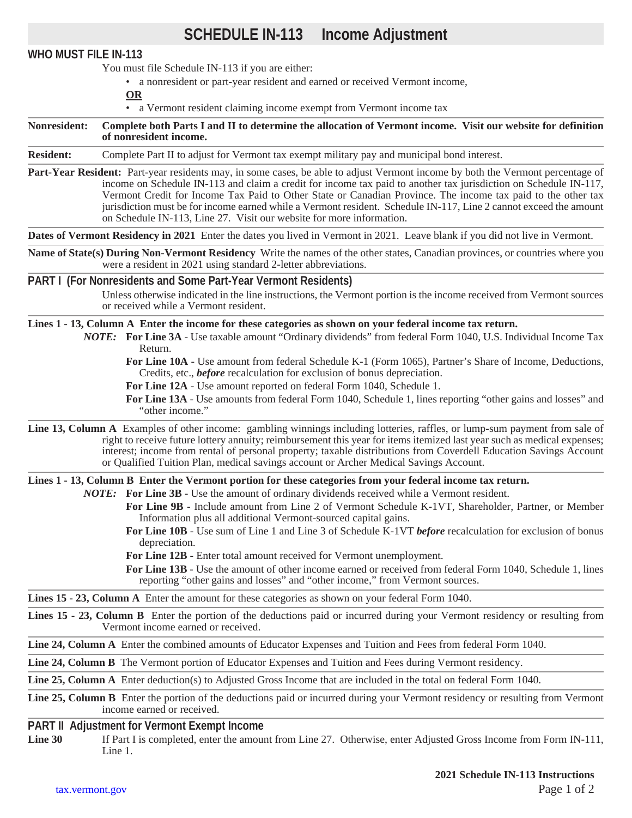# **SCHEDULE IN-113 Income Adjustment**

## **WHO MUST FILE IN-113**

You must file Schedule IN-113 if you are either:

• a nonresident or part-year resident and earned or received Vermont income,

**OR**

• a Vermont resident claiming income exempt from Vermont income tax

**Nonresident: Complete both Parts I and II to determine the allocation of Vermont income. Visit our website for definition of nonresident income.**

**Resident:** Complete Part II to adjust for Vermont tax exempt military pay and municipal bond interest.

Part-Year Resident: Part-year residents may, in some cases, be able to adjust Vermont income by both the Vermont percentage of income on Schedule IN-113 and claim a credit for income tax paid to another tax jurisdiction on Schedule IN-117, Vermont Credit for Income Tax Paid to Other State or Canadian Province. The income tax paid to the other tax jurisdiction must be for income earned while a Vermont resident. Schedule IN-117, Line 2 cannot exceed the amount on Schedule IN-113, Line 27. Visit our website for more information.

**Dates of Vermont Residency in 2021** Enter the dates you lived in Vermont in 2021. Leave blank if you did not live in Vermont.

**Name of State(s) During Non-Vermont Residency** Write the names of the other states, Canadian provinces, or countries where you were a resident in 2021 using standard 2-letter abbreviations.

#### **PART I (For Nonresidents and Some Part-Year Vermont Residents)**

Unless otherwise indicated in the line instructions, the Vermont portion is the income received from Vermont sources or received while a Vermont resident.

**Lines 1 - 13, Column A Enter the income for these categories as shown on your federal income tax return.**

*NOTE:* **For Line 3A** - Use taxable amount "Ordinary dividends" from federal Form 1040, U.S. Individual Income Tax Return.

For Line 10A - Use amount from federal Schedule K-1 (Form 1065), Partner's Share of Income, Deductions, Credits, etc., *before* recalculation for exclusion of bonus depreciation.

**For Line 12A** - Use amount reported on federal Form 1040, Schedule 1.

**For Line 13A** - Use amounts from federal Form 1040, Schedule 1, lines reporting "other gains and losses" and "other income."

**Line 13, Column A** Examples of other income: gambling winnings including lotteries, raffles, or lump-sum payment from sale of right to receive future lottery annuity; reimbursement this year for items itemized last year such as medical expenses; interest; income from rental of personal property; taxable distributions from Coverdell Education Savings Account or Qualified Tuition Plan, medical savings account or Archer Medical Savings Account.

## **Lines 1 - 13, Column B Enter the Vermont portion for these categories from your federal income tax return.**

- *NOTE:* **For Line 3B** Use the amount of ordinary dividends received while a Vermont resident.
	- **For Line 9B**  Include amount from Line 2 of Vermont Schedule K-1VT, Shareholder, Partner, or Member Information plus all additional Vermont-sourced capital gains.
	- **For Line 10B**  Use sum of Line 1 and Line 3 of Schedule K-1VT *before* recalculation for exclusion of bonus depreciation.

**For Line 12B** - Enter total amount received for Vermont unemployment.

For Line 13B - Use the amount of other income earned or received from federal Form 1040, Schedule 1, lines reporting "other gains and losses" and "other income," from Vermont sources.

**Lines 15 - 23, Column A** Enter the amount for these categories as shown on your federal Form 1040.

**Lines 15 - 23, Column B** Enter the portion of the deductions paid or incurred during your Vermont residency or resulting from Vermont income earned or received.

**Line 24, Column A** Enter the combined amounts of Educator Expenses and Tuition and Fees from federal Form 1040.

**Line 24, Column B** The Vermont portion of Educator Expenses and Tuition and Fees during Vermont residency.

**Line 25, Column A** Enter deduction(s) to Adjusted Gross Income that are included in the total on federal Form 1040.

**Line 25, Column B** Enter the portion of the deductions paid or incurred during your Vermont residency or resulting from Vermont income earned or received.

### **PART II Adjustment for Vermont Exempt Income**

Line 30 If Part I is completed, enter the amount from Line 27. Otherwise, enter Adjusted Gross Income from Form IN-111, Line 1.